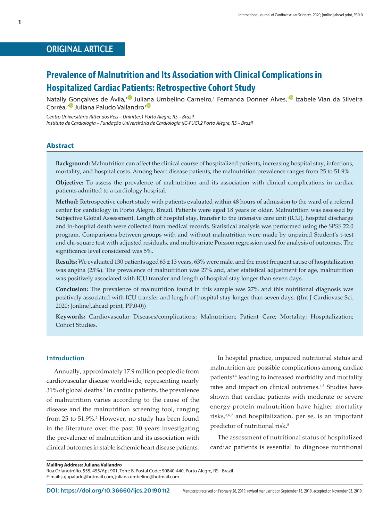# ORIGINAL ARTICLE

# **Prevalence of Malnutrition and Its Association with Clinical Complications in Hospitalized Cardiac Patients: Retrospective Cohort Study**

Natally Gonçalves de Ávila,<sup>10</sup> Juli[ana](https://orcid.org/0000-0002-2356-8104) Umbelino Carneiro,<sup>1</sup> Fernanda Donner Alves,<sup>10</sup> Izabele Vian da Silveira Corrêa,<sup>20</sup> Juliana Paludo Vallandro<sup>10</sup>

*Centro Universitário Ritter dos Reis – Uniritter,1 Porto Alegre, RS – Brazil Instituto de Cardiologia – Fundação Universitária de Cardiologia (IC-FUC),2 Porto Alegre, RS – Brazil* 

#### **Abstract**

**Background:** Malnutrition can affect the clinical course of hospitalized patients, increasing hospital stay, infections, mortality, and hospital costs. Among heart disease patients, the malnutrition prevalence ranges from 25 to 51.9%.

**Objective:** To assess the prevalence of malnutrition and its association with clinical complications in cardiac patients admitted to a cardiology hospital.

**Method:** Retrospective cohort study with patients evaluated within 48 hours of admission to the ward of a referral center for cardiology in Porto Alegre, Brazil. Patients were aged 18 years or older. Malnutrition was assessed by Subjective Global Assessment. Length of hospital stay, transfer to the intensive care unit (ICU), hospital discharge and in-hospital death were collected from medical records. Statistical analysis was performed using the SPSS 22.0 program. Comparisons between groups with and without malnutrition were made by unpaired Student's t-test and chi-square test with adjusted residuals, and multivariate Poisson regression used for analysis of outcomes. The significance level considered was 5%.

**Results:** We evaluated 130 patients aged 63 ± 13 years, 63% were male, and the most frequent cause of hospitalization was angina (25%). The prevalence of malnutrition was 27% and, after statistical adjustment for age, malnutrition was positively associated with ICU transfer and length of hospital stay longer than seven days.

**Conclusion:** The prevalence of malnutrition found in this sample was 27% and this nutritional diagnosis was positively associated with ICU transfer and length of hospital stay longer than seven days. ((Int J Cardiovasc Sci. 2020; [online].ahead print, PP.0-0))

**Keywords:** Cardiovascular Diseases/complications; Malnutrition; Patient Care; Mortality; Hospitalization; Cohort Studies.

#### **Introduction**

Annually, approximately 17.9 million people die from cardiovascular disease worldwide, representing nearly 31% of global deaths.<sup>1</sup> In cardiac patients, the prevalence of malnutrition varies according to the cause of the disease and the malnutrition screening tool, ranging from 25 to 51.9%.2 However, no study has been found in the literature over the past 10 years investigating the prevalence of malnutrition and its association with clinical outcomes in stable ischemic heart disease patients.

In hospital practice, impaired nutritional status and malnutrition are possible complications among cardiac patients<sup>3,4</sup> leading to increased morbidity and mortality rates and impact on clinical outcomes.4,5 Studies have shown that cardiac patients with moderate or severe energy-protein malnutrition have higher mortality risks,3,6,7 and hospitalization, per se, is an important predictor of nutritional risk.<sup>8</sup>

The assessment of nutritional status of hospitalized cardiac patients is essential to diagnose nutritional

Rua Orfanotrófio, 555, 455/Apt 901, Torre B. Postal Code: 90840-440, Porto Alegre, RS - Brazil E-mail: jujupaludo@hotmail.com, juliana.umbelino@hotmail.com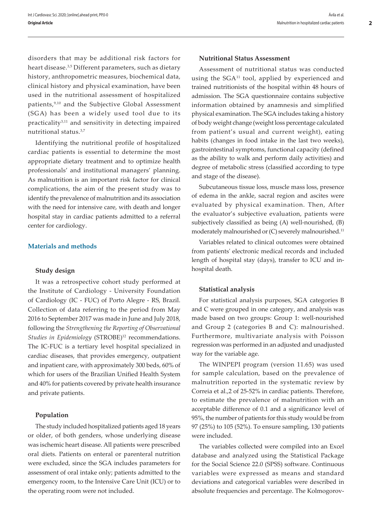disorders that may be additional risk factors for heart disease.3,5 Different parameters, such as dietary history, anthropometric measures, biochemical data, clinical history and physical examination, have been used in the nutritional assessment of hospitalized patients,9,10 and the Subjective Global Assessment (SGA) has been a widely used tool due to its practicality<sup>3,11</sup> and sensitivity in detecting impaired nutritional status.3,7

Identifying the nutritional profile of hospitalized cardiac patients is essential to determine the most appropriate dietary treatment and to optimize health professionals' and institutional managers' planning. As malnutrition is an important risk factor for clinical complications, the aim of the present study was to identify the prevalence of malnutrition and its association with the need for intensive care, with death and longer hospital stay in cardiac patients admitted to a referral center for cardiology.

#### **Materials and methods**

#### **Study design**

It was a retrospective cohort study performed at the Institute of Cardiology - University Foundation of Cardiology (IC - FUC) of Porto Alegre - RS, Brazil. Collection of data referring to the period from May 2016 to September 2017 was made in June and July 2018, following the *Strengthening the Reporting of Observational*  Studies in Epidemiology (STROBE)<sup>12</sup> recommendations. The IC-FUC is a tertiary level hospital specialized in cardiac diseases, that provides emergency, outpatient and inpatient care, with approximately 300 beds, 60% of which for users of the Brazilian Unified Health System and 40% for patients covered by private health insurance and private patients.

#### **Population**

The study included hospitalized patients aged 18 years or older, of both genders, whose underlying disease was ischemic heart disease. All patients were prescribed oral diets. Patients on enteral or parenteral nutrition were excluded, since the SGA includes parameters for assessment of oral intake only; patients admitted to the emergency room, to the Intensive Care Unit (ICU) or to the operating room were not included.

#### **Nutritional Status Assessment**

Assessment of nutritional status was conducted using the SGA<sup>11</sup> tool, applied by experienced and trained nutritionists of the hospital within 48 hours of admission. The SGA questionnaire contains subjective information obtained by anamnesis and simplified physical examination. The SGA includes taking a history of body weight change (weight loss percentage calculated from patient's usual and current weight), eating habits (changes in food intake in the last two weeks), gastrointestinal symptoms, functional capacity (defined as the ability to walk and perform daily activities) and degree of metabolic stress (classified according to type and stage of the disease).

Subcutaneous tissue loss, muscle mass loss, presence of edema in the ankle, sacral region and ascites were evaluated by physical examination. Then, After the evaluator's subjective evaluation, patients were subjectively classified as being (A) well-nourished, (B) moderately malnourished or (C) severely malnourished.<sup>11</sup>

Variables related to clinical outcomes were obtained from patients' electronic medical records and included length of hospital stay (days), transfer to ICU and inhospital death.

#### **Statistical analysis**

For statistical analysis purposes, SGA categories B and C were grouped in one category, and analysis was made based on two groups: Group 1: well-nourished and Group 2 (categories B and C): malnourished. Furthermore, multivariate analysis with Poisson regression was performed in an adjusted and unadjusted way for the variable age.

The WINPEPI program (version 11.65) was used for sample calculation, based on the prevalence of malnutrition reported in the systematic review by Correia et al.,2 of 25-52% in cardiac patients. Therefore, to estimate the prevalence of malnutrition with an acceptable difference of 0.1 and a significance level of 95%, the number of patients for this study would be from 97 (25%) to 105 (52%). To ensure sampling, 130 patients were included.

The variables collected were compiled into an Excel database and analyzed using the Statistical Package for the Social Science 22.0 (SPSS) software. Continuous variables were expressed as means and standard deviations and categorical variables were described in absolute frequencies and percentage. The Kolmogorov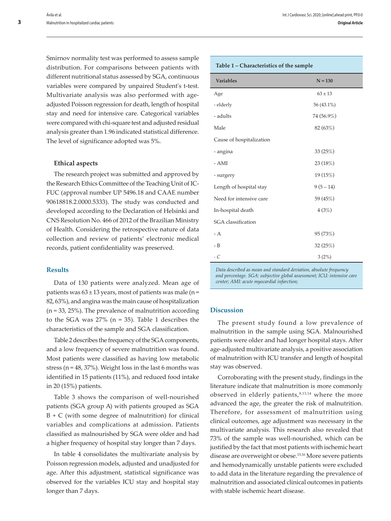Smirnov normality test was performed to assess sample distribution. For comparisons between patients with different nutritional status assessed by SGA, continuous variables were compared by unpaired Student's t-test. Multivariate analysis was also performed with ageadjusted Poisson regression for death, length of hospital stay and need for intensive care. Categorical variables were compared with chi-square test and adjusted residual analysis greater than 1.96 indicated statistical difference. The level of significance adopted was 5%.

#### **Ethical aspects**

The research project was submitted and approved by the Research Ethics Committee of the Teaching Unit of IC-FUC (approval number UP 5496.18 and CAAE number 90618818.2.0000.5333). The study was conducted and developed according to the Declaration of Helsinki and CNS Resolution No. 466 of 2012 of the Brazilian Ministry of Health. Considering the retrospective nature of data collection and review of patients' electronic medical records, patient confidentiality was preserved.

### **Results**

Data of 130 patients were analyzed. Mean age of patients was  $63 \pm 13$  years, most of patients was male (n = 82, 63%), and angina was the main cause of hospitalization (n = 33, 25%). The prevalence of malnutrition according to the SGA was  $27\%$  (n = 35). Table 1 describes the characteristics of the sample and SGA classification.

Table 2 describes the frequency of the SGA components, and a low frequency of severe malnutrition was found. Most patients were classified as having low metabolic stress (n = 48, 37%). Weight loss in the last 6 months was identified in 15 patients (11%), and reduced food intake in 20 (15%) patients.

Table 3 shows the comparison of well-nourished patients (SGA group A) with patients grouped as SGA  $B + C$  (with some degree of malnutrition) for clinical variables and complications at admission. Patients classified as malnourished by SGA were older and had a higher frequency of hospital stay longer than 7 days.

In table 4 consolidates the multivariate analysis by Poisson regression models, adjusted and unadjusted for age. After this adjustment, statistical significance was observed for the variables ICU stay and hospital stay longer than 7 days.

#### **Table 1 – Characteristics of the sample**

| Table 1 – Characteristics of the sample |             |  |  |  |
|-----------------------------------------|-------------|--|--|--|
| <b>Variables</b>                        | $N = 130$   |  |  |  |
| Age                                     | $63 \pm 13$ |  |  |  |
| - elderly                               | 56 (43.1%)  |  |  |  |
| - adults                                | 74 (56.9%)  |  |  |  |
| Male                                    | 82 (63%)    |  |  |  |
| Cause of hospitalization                |             |  |  |  |
| - angina                                | 33 (25%)    |  |  |  |
| $- AMI$                                 | 23 (18%)    |  |  |  |
| - surgery                               | 19 (15%)    |  |  |  |
| Length of hospital stay                 | $9(5-14)$   |  |  |  |
| Need for intensive care                 | 59 (45%)    |  |  |  |
| In-hospital death                       | 4(3%)       |  |  |  |
| SGA classification                      |             |  |  |  |
| - A                                     | 95(73%)     |  |  |  |
| - B                                     | 32(25%)     |  |  |  |
| - C                                     | 3(2%)       |  |  |  |

*Data described as mean and standard deviation, absolute frequency and percentage. SGA: subjective global assessment; ICU: intensive care center; AMI: acute myocardial infarction;*

#### **Discussion**

The present study found a low prevalence of malnutrition in the sample using SGA. Malnourished patients were older and had longer hospital stays. After age-adjusted multivariate analysis, a positive association of malnutrition with ICU transfer and length of hospital stay was observed.

Corroborating with the present study, findings in the literature indicate that malnutrition is more commonly observed in elderly patients, $8,13,14$  where the more advanced the age, the greater the risk of malnutrition. Therefore, for assessment of malnutrition using clinical outcomes, age adjustment was necessary in the multivariate analysis. This research also revealed that 73% of the sample was well-nourished, which can be justified by the fact that most patients with ischemic heart disease are overweight or obese.15,16 More severe patients and hemodynamically unstable patients were excluded to add data in the literature regarding the prevalence of malnutrition and associated clinical outcomes in patients with stable ischemic heart disease.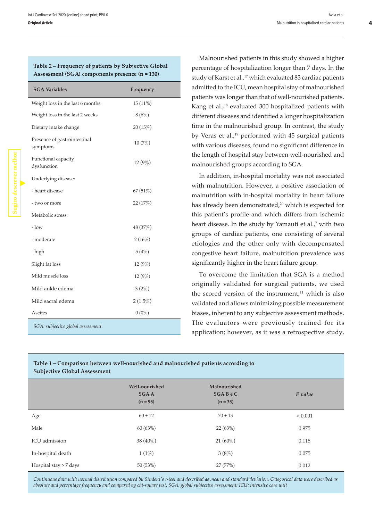| Assessment (SGA) components presence (n = 130) |            |  |  |  |
|------------------------------------------------|------------|--|--|--|
| <b>SGA Variables</b>                           | Frequency  |  |  |  |
| Weight loss in the last 6 months               | $15(11\%)$ |  |  |  |
| Weight loss in the last 2 weeks                | 8(6%)      |  |  |  |
| Dietary intake change                          | 20(15%)    |  |  |  |
| Presence of gastrointestinal<br>symptoms       | 10(7%)     |  |  |  |
| Functional capacity<br>dysfunction             | 12(9%)     |  |  |  |
| Underlying disease:                            |            |  |  |  |
| - heart disease                                | 67 (51%)   |  |  |  |
| - two or more                                  | 22(17%)    |  |  |  |
| Metabolic stress:                              |            |  |  |  |
| $-$ low                                        | 48 (37%)   |  |  |  |
| - moderate                                     | 2(16%)     |  |  |  |
| - high                                         | 5(4%)      |  |  |  |
| Slight fat loss                                | 12(9%)     |  |  |  |
| Mild muscle loss                               | 12(9%)     |  |  |  |
| Mild ankle edema                               | 3(2%)      |  |  |  |
| Mild sacral edema                              | $2(1.5\%)$ |  |  |  |

**Table 2 – Frequency of patients by Subjective Global** 

*SGA: subjective global assessment.*

Ascites  $0 \t(0\%)$ 

Malnourished patients in this study showed a higher percentage of hospitalization longer than 7 days. In the study of Karst et al.,<sup>17</sup> which evaluated 83 cardiac patients admitted to the ICU, mean hospital stay of malnourished patients was longer than that of well-nourished patients. Kang et al.,<sup>18</sup> evaluated 300 hospitalized patients with different diseases and identified a longer hospitalization time in the malnourished group. In contrast, the study by Veras et al.,<sup>19</sup> performed with 45 surgical patients with various diseases, found no significant difference in the length of hospital stay between well-nourished and malnourished groups according to SGA.

In addition, in-hospital mortality was not associated with malnutrition. However, a positive association of malnutrition with in-hospital mortality in heart failure has already been demonstrated,<sup>20</sup> which is expected for this patient's profile and which differs from ischemic heart disease. In the study by Yamauti et al.,<sup>7</sup> with two groups of cardiac patients, one consisting of several etiologies and the other only with decompensated congestive heart failure, malnutrition prevalence was significantly higher in the heart failure group.

To overcome the limitation that SGA is a method originally validated for surgical patients, we used the scored version of the instrument, $11$  which is also validated and allows minimizing possible measurement biases, inherent to any subjective assessment methods. The evaluators were previously trained for its application; however, as it was a retrospective study,

# **Table 1 – Comparison between well-nourished and malnourished patients according to Subjective Global Assessment**

|                        | Well-nourished<br><b>SGAA</b><br>$(n = 95)$ | Malnourished<br><b>SGABeC</b><br>$(n = 35)$ | P value |
|------------------------|---------------------------------------------|---------------------------------------------|---------|
| Age                    | $60 \pm 12$                                 | $70 \pm 13$                                 | < 0.001 |
| Male                   | 60(63%)                                     | 22 (63%)                                    | 0.975   |
| ICU admission          | 38 (40%)                                    | $21(60\%)$                                  | 0.115   |
| In-hospital death      | 1(1%)                                       | 3(8%)                                       | 0.075   |
| Hospital stay > 7 days | 50(53%)                                     | 27 (77%)                                    | 0.012   |

*Continuous data with normal distribution compared by Student's t-test and described as mean and standard deviation. Categorical data were described as absolute and percentage frequency and compared by chi-square test. SGA: global subjective assessment; ICU: intensive care unit*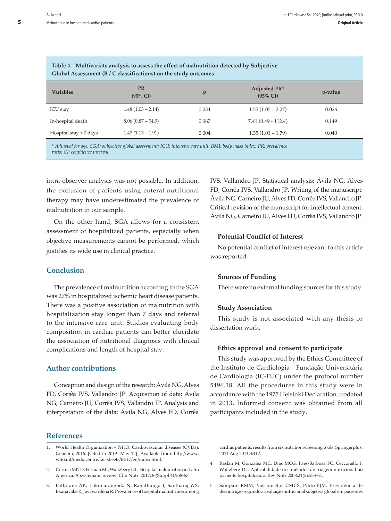| Table 4 – Multivariate analysis to assess the effect of malnutrition detected by Subjective<br>Global Assessment $(B / C$ classifications) on the study outcomes |                         |       |                                     |         |  |  |  |
|------------------------------------------------------------------------------------------------------------------------------------------------------------------|-------------------------|-------|-------------------------------------|---------|--|--|--|
| <b>Variables</b>                                                                                                                                                 | <b>PR</b><br>$(95\%$ CI | p     | Adjusted PR*<br>$(95\% \text{ CI})$ | p-value |  |  |  |
| <b>ICU</b> stay                                                                                                                                                  | $1.48(1.03 - 2.14)$     | 0.034 | $1.55(1.05 - 2.27)$                 | 0.026   |  |  |  |
| In-hospital death                                                                                                                                                | $8.06(0.87 - 74.9)$     | 0.067 | $7.41(0.49 - 112.4)$                | 0.149   |  |  |  |
| Hospital stay > 7 days                                                                                                                                           | $1.47(1.13 - 1.91)$     | 0.004 | $1.35(1.01 - 1.79)$                 | 0.040   |  |  |  |
| * Adjusted for age. SGA: subjective global assessment; ICU: intensive care unit; BMI: body mass index; PR: prevalence                                            |                         |       |                                     |         |  |  |  |

*ratio; CI: confidence interval.*

intra-observer analysis was not possible. In addition, the exclusion of patients using enteral nutritional therapy may have underestimated the prevalence of malnutrition in our sample.

On the other hand, SGA allows for a consistent assessment of hospitalized patients, especially when objective measurements cannot be performed, which justifies its wide use in clinical practice.

# **Conclusion**

The prevalence of malnutrition according to the SGA was 27% in hospitalized ischemic heart disease patients. There was a positive association of malnutrition with hospitalization stay longer than 7 days and referral to the intensive care unit. Studies evaluating body composition in cardiac patients can better elucidate the association of nutritional diagnosis with clinical complications and length of hospital stay.

# **Author contributions**

Conception and design of the research: Ávila NG, Alves FD, Corrêa IVS, Vallandro JP. Acquisition of data: Ávila NG, Carneiro JU, Corrêa IVS, Vallandro JP. Analysis and interpretation of the data: Ávila NG, Alves FD, Corrêa

# **References**

- 2. Correia MITD, Perman MI, Waitzberg DL. Hospital malnutrition in Latin America: A systematic review. Clin Nutr. 2017;36(Suppl 4):958-67.
- 3. Pathirana AK, Lokunarangoda N, Ranathunga I, Santharaj WS, Ekanayake R, Jayawardena R. Prevalence of hospital malnutrition among

IVS, Vallandro JP. Statistical analysis: Ávila NG, Alves FD, Corrêa IVS, Vallandro JP. Writing of the manuscript: Ávila NG, Carneiro JU, Alves FD, Corrêa IVS, Vallandro JP. Critical revision of the manuscript for intellectual content: Ávila NG, Carneiro JU, Alves FD, Corrêa IVS, Vallandro JP.

# **Potential Conflict of Interest**

No potential conflict of interest relevant to this article was reported.

#### **Sources of Funding**

There were no external funding sources for this study.

#### **Study Association**

This study is not associated with any thesis or dissertation work.

#### **Ethics approval and consent to participate**

This study was approved by the Ethics Committee of the Instituto de Cardiologia - Fundação Universitária de Cardiologia (IC-FUC) under the protocol number 5496.18. All the procedures in this study were in accordance with the 1975 Helsinki Declaration, updated in 2013. Informed consent was obtained from all participants included in the study.

cardiac patients: results from six nutrition screening tools. Springerplus. 2014 Aug 2014;3:412.

- 4. Raslan M, Gonzalez MC, Dias MCG, Paes-Barbosa FC, Cecconello I, Waitzberg DL. Aplicabilidade dos métodos de triagem nutricional no paciente hospitalizado. Rev Nutr 2008;21(5):553-61.
- 5. Sampaio RMM, Vasconcelos CMCS, Pinto FJM. Prevalência de desnutrição segundo a avaliação nutricional subjetiva global em pacientes

<sup>1.</sup> World Health Organization - WHO. Cardiovascular diseases (CVDs). Genebra; 2016. [Cited in 2019 May 12] Available from: http://www. who.int/mediacentre/factsheets/fs317/en/index.html.